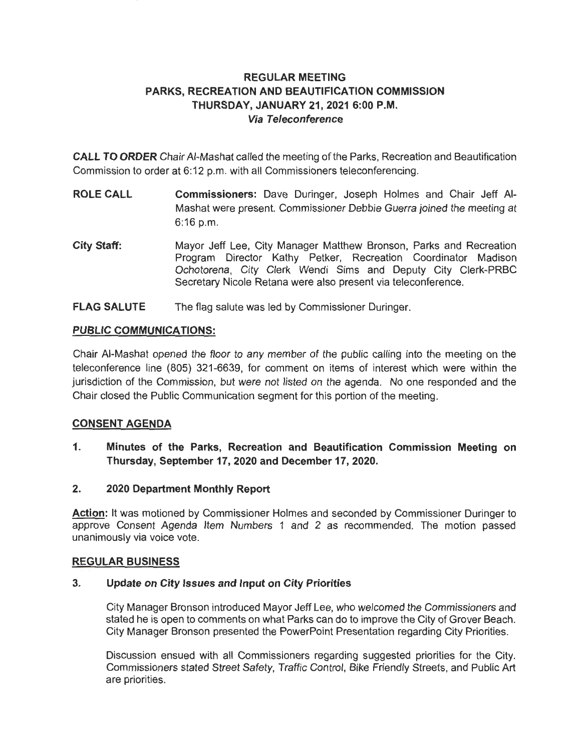# **REGULAR MEETING PARKS, RECREATION AND BEAUTIFICATION COMMISSION THURSDAY, JANUARY 21, 2021 6:00 P.M. Via Teleconference**

**CALL TO ORDER** Chair AI-Mashat called the meeting of the Parks, Recreation and Beautification Commission to order at 6:12 p.m. with all Commissioners teleconferencing.

- **ROLE CALL Commissioners:** Dave Duringer, Joseph Holmes and Chair Jeff AI-Mashat were present. Commissioner Debbie Guerra joined the meeting at 6:16 p.m.
- **City Staff:**  Mayor Jeff Lee, City Manager Matthew Bronson, Parks and Recreation Program Director Kathy Petker, Recreation Coordinator Madison Ochotorena, City Clerk Wendi Sims and Deputy City Clerk-PRBC Secretary Nicole Retana were also present via teleconference.
- **FLAG SALUTE**  The flag salute was led by Commissioner Duringer.

# **PUBLIC COMMUNICATIONS:**

Chair AI-Mashat opened the floor to any member of the public calling into the meeting on the teleconference line (805) 321-6639, for comment on items of interest which were within the jurisdiction of the Commission, but were not listed on the agenda. No one responded and the Chair closed the Public Communication segment for this portion of the meeting.

# **CONSENT AGENDA**

- **1. Minutes of the Parks, Recreation and Beautification Commission Meeting on Thursday, September 17, 2020 and December 17, 2020.**
- **2. 2020 Department Monthly Report**

Action: It was motioned by Commissioner Holmes and seconded by Commissioner Duringer to approve Consent Agenda Item Numbers 1 and 2 as recommended. The motion passed unanimously via voice vote.

# **REGULAR BUSINESS**

# **3. Update on City Issues and Input on City Priorities**

City Manager Bronson introduced Mayor Jeff Lee, who welcomed the Commissioners and stated he is open to comments on what Parks can do to improve the City of Grover Beach. City Manager Bronson presented the PowerPoint Presentation regarding City Priorities.

Discussion ensued with all Commissioners regarding suggested priorities for the City. Commissioners stated Street Safety, Traffic Control, Bike Friendly Streets, and Public Art are priorities.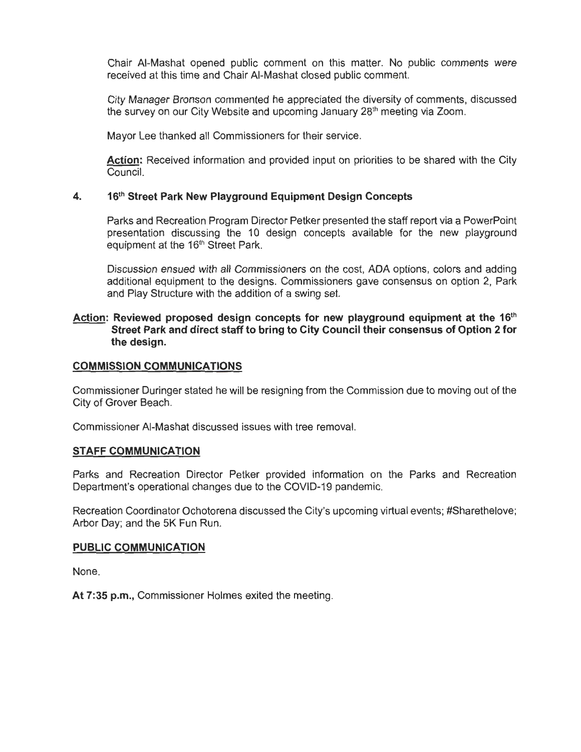Chair AI-Mashat opened public comment on this matter. No public comments were received at this time and Chair AI-Mashat closed public comment.

City Manager Bronson commented he appreciated the diversity of comments, discussed the survey on our City Website and upcoming January 28<sup>th</sup> meeting via Zoom.

Mayor Lee thanked all Commissioners for their service.

**Action:** Received information and provided input on priorities to be shared with the City Council.

## **4. 16th Street Park New Playground Equipment Design Concepts**

Parks and Recreation Program Director Petker presented the staff report via a PowerPoint presentation discussing the 10 design concepts available for the new playground equipment at the 16<sup>th</sup> Street Park.

Discussion ensued with all Commissioners on the cost, ADA options, colors and adding additional equipment to the designs. Commissioners gave consensus on option 2, Park and Play Structure with the addition of a swing set.

## Action: Reviewed proposed design concepts for new playground equipment at the 16<sup>th</sup> **Street Park and direct staff to bring to City Council their consensus of Option 2 for the design.**

### **COMMISSION COMMUNICATIONS**

Commissioner Duringer stated he will be resigning from the Commission due to moving out of the City of Grover Beach.

Commissioner AI-Mashat discussed issues with tree removal.

### **STAFF COMMUNICATION**

Parks and Recreation Director Petker provided information on the Parks and Recreation Department's operational changes due to the COVID-19 pandemic.

Recreation Coordinator Ochotorena discussed the City's upcoming virtual events; #Sharethelove; Arbor Day; and the 5K Fun Run.

### **PUBLIC COMMUNICATION**

None.

**At 7:35 p.m.,** Commissioner Holmes exited the meeting.